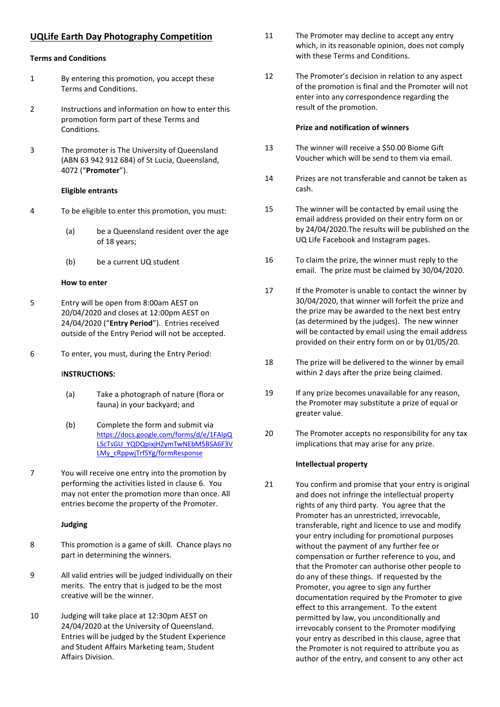# **UQLife Earth Day Photography Competition**

#### **Terms and Conditions**

- 1 By entering this promotion, you accept these Terms and Conditions.
- 2 Instructions and information on how to enter this promotion form part of these Terms and Conditions.
- 3 The promoter is The University of Queensland (ABN 63 942 912 684) of St Lucia, Queensland, 4072 ("**Promoter**").

#### **Eligible entrants**

- 4 To be eligible to enter this promotion, you must:
	- (a) be a Queensland resident over the age of 18 years;
	- (b) be a current UQ student

### **How to enter**

- 5 Entry will be open from 8:00am AEST on 20/04/2020 and closes at 12:00pm AEST on 24/04/2020 ("**Entry Period**"). Entries received outside of the Entry Period will not be accepted.
- 6 To enter, you must, during the Entry Period:

## I**NSTRUCTIONS:**

- (a) Take a photograph of nature (flora or fauna) in your backyard; and
- (b) Complete the form and submit via https://docs.google.com/forms/d/e/1FAIpQ LScTsGU\_YQDQpixjHZymTwNEbM5BSA6F3V LMy\_cRppwjTrfSYg/formResponse
- 7 You will receive one entry into the promotion by performing the activities listed in clause 6. You may not enter the promotion more than once. All entries become the property of the Promoter.

## **Judging**

- 8 This promotion is a game of skill. Chance plays no part in determining the winners.
- 9 All valid entries will be judged individually on their merits. The entry that is judged to be the most creative will be the winner.
- 10 Judging will take place at 12:30pm AEST on 24/04/2020 at the University of Queensland. Entries will be judged by the Student Experience and Student Affairs Marketing team, Student Affairs Division.
- 11 The Promoter may decline to accept any entry which, in its reasonable opinion, does not comply with these Terms and Conditions.
- 12 The Promoter's decision in relation to any aspect of the promotion is final and the Promoter will not enter into any correspondence regarding the result of the promotion.

## **Prize and notification of winners**

- 13 The winner will receive a \$50.00 Biome Gift Voucher which will be send to them via email.
- 14 Prizes are not transferable and cannot be taken as cash.
- 15 The winner will be contacted by email using the email address provided on their entry form on or by 24/04/2020.The results will be published on the UQ Life Facebook and Instagram pages.
- 16 To claim the prize, the winner must reply to the email. The prize must be claimed by 30/04/2020.
- 17 If the Promoter is unable to contact the winner by 30/04/2020, that winner will forfeit the prize and the prize may be awarded to the next best entry (as determined by the judges). The new winner will be contacted by email using the email address provided on their entry form on or by 01/05/20.
- 18 The prize will be delivered to the winner by email within 2 days after the prize being claimed.
- 19 If any prize becomes unavailable for any reason, the Promoter may substitute a prize of equal or greater value.
- 20 The Promoter accepts no responsibility for any tax implications that may arise for any prize.

## **Intellectual property**

21 You confirm and promise that your entry is original and does not infringe the intellectual property rights of any third party. You agree that the Promoter has an unrestricted, irrevocable, transferable, right and licence to use and modify your entry including for promotional purposes without the payment of any further fee or compensation or further reference to you, and that the Promoter can authorise other people to do any of these things. If requested by the Promoter, you agree to sign any further documentation required by the Promoter to give effect to this arrangement. To the extent permitted by law, you unconditionally and irrevocably consent to the Promoter modifying your entry as described in this clause, agree that the Promoter is not required to attribute you as author of the entry, and consent to any other act